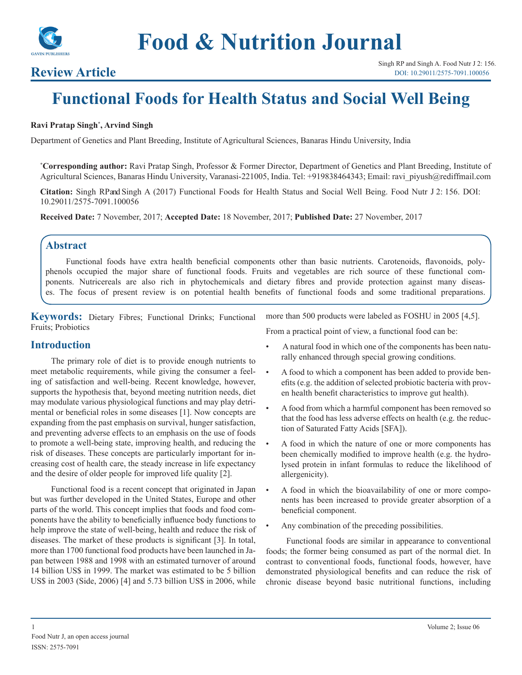

# **Review Article**

# **Functional Foods for Health Status and Social Well Being**

#### **Ravi Pratap Singh\* , Arvind Singh**

Department of Genetics and Plant Breeding, Institute of Agricultural Sciences, Banaras Hindu University, India

**\* Corresponding author:** Ravi Pratap Singh, Professor & Former Director, Department of Genetics and Plant Breeding, Institute of Agricultural Sciences, Banaras Hindu University, Varanasi-221005, India. Tel: +919838464343; Email: ravi\_piyush@rediffmail.com

**Citation:** Singh RP and Singh A (2017) Functional Foods for Health Status and Social Well Being. Food Nutr J 2: 156. DOI: 10.29011/2575-7091.100056

**Received Date:** 7 November, 2017; **Accepted Date:** 18 November, 2017; **Published Date:** 27 November, 2017

# **Abstract**

Functional foods have extra health beneficial components other than basic nutrients. Carotenoids, flavonoids, polyphenols occupied the major share of functional foods. Fruits and vegetables are rich source of these functional components. Nutricereals are also rich in phytochemicals and dietary fibres and provide protection against many diseases. The focus of present review is on potential health benefits of functional foods and some traditional preparations.

**Keywords:** Dietary Fibres; Functional Drinks; Functional Fruits; Probiotics

more than 500 products were labeled as FOSHU in 2005 [4,5].

**Introduction**

The primary role of diet is to provide enough nutrients to meet metabolic requirements, while giving the consumer a feeling of satisfaction and well-being. Recent knowledge, however, supports the hypothesis that, beyond meeting nutrition needs, diet may modulate various physiological functions and may play detrimental or beneficial roles in some diseases [1]. Now concepts are expanding from the past emphasis on survival, hunger satisfaction, and preventing adverse effects to an emphasis on the use of foods to promote a well-being state, improving health, and reducing the risk of diseases. These concepts are particularly important for increasing cost of health care, the steady increase in life expectancy and the desire of older people for improved life quality [2].

Functional food is a recent concept that originated in Japan but was further developed in the United States, Europe and other parts of the world. This concept implies that foods and food components have the ability to beneficially influence body functions to help improve the state of well-being, health and reduce the risk of diseases. The market of these products is significant [3]. In total, more than 1700 functional food products have been launched in Japan between 1988 and 1998 with an estimated turnover of around 14 billion US\$ in 1999. The market was estimated to be 5 billion US\$ in 2003 (Side, 2006) [4] and 5.73 billion US\$ in 2006, while

From a practical point of view, a functional food can be:

- A natural food in which one of the components has been naturally enhanced through special growing conditions.
- A food to which a component has been added to provide benefits (e.g. the addition of selected probiotic bacteria with proven health benefit characteristics to improve gut health).
- A food from which a harmful component has been removed so that the food has less adverse effects on health (e.g. the reduction of Saturated Fatty Acids [SFA]).
- A food in which the nature of one or more components has been chemically modified to improve health (e.g. the hydrolysed protein in infant formulas to reduce the likelihood of allergenicity).
- A food in which the bioavailability of one or more components has been increased to provide greater absorption of a beneficial component.
- Any combination of the preceding possibilities.

Functional foods are similar in appearance to conventional foods; the former being consumed as part of the normal diet. In contrast to conventional foods, functional foods, however, have demonstrated physiological benefits and can reduce the risk of chronic disease beyond basic nutritional functions, including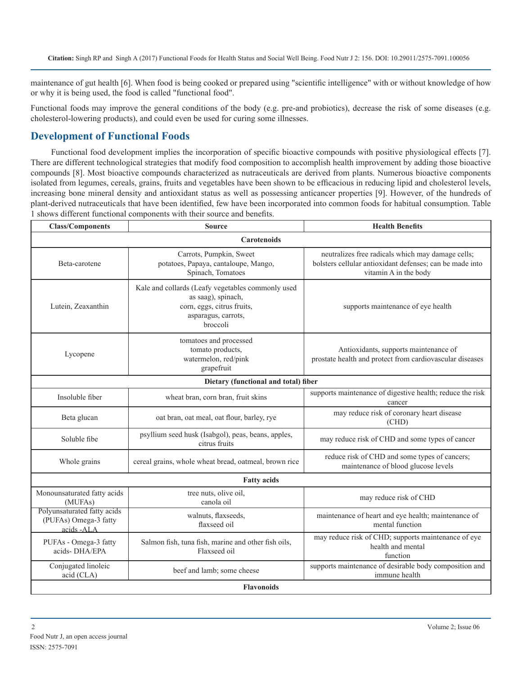maintenance of gut health [6]. When food is being cooked or prepared using "scientific intelligence" with or without knowledge of how or why it is being used, the food is called "functional food".

Functional foods may improve the general conditions of the body (e.g. pre-and probiotics), decrease the risk of some diseases (e.g. cholesterol-lowering products), and could even be used for curing some illnesses.

# **Development of Functional Foods**

Functional food development implies the incorporation of specific bioactive compounds with positive physiological effects [7]. There are different technological strategies that modify food composition to accomplish health improvement by adding those bioactive compounds [8]. Most bioactive compounds characterized as nutraceuticals are derived from plants. Numerous bioactive components isolated from legumes, cereals, grains, fruits and vegetables have been shown to be efficacious in reducing lipid and cholesterol levels, increasing bone mineral density and antioxidant status as well as possessing anticancer properties [9]. However, of the hundreds of plant-derived nutraceuticals that have been identified, few have been incorporated into common foods for habitual consumption. Table 1 shows different functional components with their source and benefits.

| <b>Class/Components</b>                                            | <b>Source</b>                                                                                                                            | <b>Health Benefits</b>                                                                                                                 |
|--------------------------------------------------------------------|------------------------------------------------------------------------------------------------------------------------------------------|----------------------------------------------------------------------------------------------------------------------------------------|
| <b>Carotenoids</b>                                                 |                                                                                                                                          |                                                                                                                                        |
| Beta-carotene                                                      | Carrots, Pumpkin, Sweet<br>potatoes, Papaya, cantaloupe, Mango,<br>Spinach, Tomatoes                                                     | neutralizes free radicals which may damage cells;<br>bolsters cellular antioxidant defenses; can be made into<br>vitamin A in the body |
| Lutein, Zeaxanthin                                                 | Kale and collards (Leafy vegetables commonly used<br>as saag), spinach,<br>corn, eggs, citrus fruits,<br>asparagus, carrots,<br>broccoli | supports maintenance of eye health                                                                                                     |
| Lycopene                                                           | tomatoes and processed<br>tomato products,<br>watermelon, red/pink<br>grapefruit                                                         | Antioxidants, supports maintenance of<br>prostate health and protect from cardiovascular diseases                                      |
| Dietary (functional and total) fiber                               |                                                                                                                                          |                                                                                                                                        |
| Insoluble fiber                                                    | wheat bran, corn bran, fruit skins                                                                                                       | supports maintenance of digestive health; reduce the risk<br>cancer                                                                    |
| Beta glucan                                                        | oat bran, oat meal, oat flour, barley, rye                                                                                               | may reduce risk of coronary heart disease<br>(CHD)                                                                                     |
| Soluble fibe                                                       | psyllium seed husk (Isabgol), peas, beans, apples,<br>citrus fruits                                                                      | may reduce risk of CHD and some types of cancer                                                                                        |
| Whole grains                                                       | cereal grains, whole wheat bread, oatmeal, brown rice                                                                                    | reduce risk of CHD and some types of cancers;<br>maintenance of blood glucose levels                                                   |
| <b>Fatty acids</b>                                                 |                                                                                                                                          |                                                                                                                                        |
| Monounsaturated fatty acids<br>(MUFAs)                             | tree nuts, olive oil,<br>canola oil                                                                                                      | may reduce risk of CHD                                                                                                                 |
| Polyunsaturated fatty acids<br>(PUFAs) Omega-3 fatty<br>acids -ALA | walnuts, flaxseeds,<br>flaxseed oil                                                                                                      | maintenance of heart and eye health; maintenance of<br>mental function                                                                 |
| PUFAs - Omega-3 fatty<br>acids-DHA/EPA                             | Salmon fish, tuna fish, marine and other fish oils,<br>Flaxseed oil                                                                      | may reduce risk of CHD; supports maintenance of eye<br>health and mental<br>function                                                   |
| Conjugated linoleic<br>acid (CLA)                                  | beef and lamb; some cheese                                                                                                               | supports maintenance of desirable body composition and<br>immune health                                                                |
| <b>Flavonoids</b>                                                  |                                                                                                                                          |                                                                                                                                        |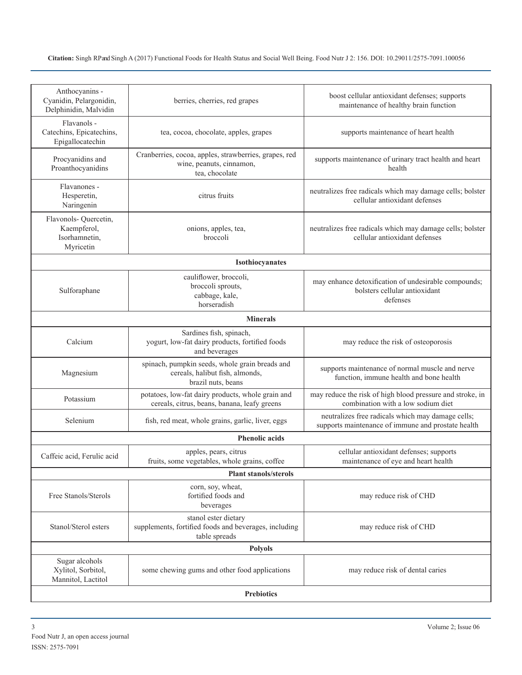| Anthocyanins -<br>Cyanidin, Pelargonidin,<br>Delphinidin, Malvidin | berries, cherries, red grapes                                                                           | boost cellular antioxidant defenses; supports<br>maintenance of healthy brain function                  |
|--------------------------------------------------------------------|---------------------------------------------------------------------------------------------------------|---------------------------------------------------------------------------------------------------------|
| Flavanols -<br>Catechins, Epicatechins,<br>Epigallocatechin        | tea, cocoa, chocolate, apples, grapes                                                                   | supports maintenance of heart health                                                                    |
| Procyanidins and<br>Proanthocyanidins                              | Cranberries, cocoa, apples, strawberries, grapes, red<br>wine, peanuts, cinnamon,<br>tea, chocolate     | supports maintenance of urinary tract health and heart<br>health                                        |
| Flavanones -<br>Hesperetin,<br>Naringenin                          | citrus fruits                                                                                           | neutralizes free radicals which may damage cells; bolster<br>cellular antioxidant defenses              |
| Flavonols-Quercetin,<br>Kaempferol,<br>Isorhamnetin,<br>Myricetin  | onions, apples, tea,<br>broccoli                                                                        | neutralizes free radicals which may damage cells; bolster<br>cellular antioxidant defenses              |
|                                                                    | Isothiocyanates                                                                                         |                                                                                                         |
| Sulforaphane                                                       | cauliflower, broccoli,<br>broccoli sprouts,<br>cabbage, kale,<br>horseradish                            | may enhance detoxification of undesirable compounds;<br>bolsters cellular antioxidant<br>defenses       |
|                                                                    | <b>Minerals</b>                                                                                         |                                                                                                         |
| Calcium                                                            | Sardines fish, spinach,<br>yogurt, low-fat dairy products, fortified foods<br>and beverages             | may reduce the risk of osteoporosis                                                                     |
| Magnesium                                                          | spinach, pumpkin seeds, whole grain breads and<br>cereals, halibut fish, almonds,<br>brazil nuts, beans | supports maintenance of normal muscle and nerve<br>function, immune health and bone health              |
| Potassium                                                          | potatoes, low-fat dairy products, whole grain and<br>cereals, citrus, beans, banana, leafy greens       | may reduce the risk of high blood pressure and stroke, in<br>combination with a low sodium diet         |
| Selenium                                                           | fish, red meat, whole grains, garlic, liver, eggs                                                       | neutralizes free radicals which may damage cells;<br>supports maintenance of immune and prostate health |
|                                                                    | <b>Phenolic acids</b>                                                                                   |                                                                                                         |
| Caffeic acid, Ferulic acid                                         | apples, pears, citrus<br>fruits, some vegetables, whole grains, coffee                                  | cellular antioxidant defenses; supports<br>maintenance of eye and heart health                          |
|                                                                    | <b>Plant stanols/sterols</b>                                                                            |                                                                                                         |
| Free Stanols/Sterols                                               | corn, soy, wheat,<br>fortified foods and<br>beverages                                                   | may reduce risk of CHD                                                                                  |
| Stanol/Sterol esters                                               | stanol ester dietary<br>supplements, fortified foods and beverages, including<br>table spreads          | may reduce risk of CHD                                                                                  |
|                                                                    | <b>Polyols</b>                                                                                          |                                                                                                         |
| Sugar alcohols<br>Xylitol, Sorbitol,<br>Mannitol, Lactitol         | some chewing gums and other food applications                                                           | may reduce risk of dental caries                                                                        |
| <b>Prebiotics</b>                                                  |                                                                                                         |                                                                                                         |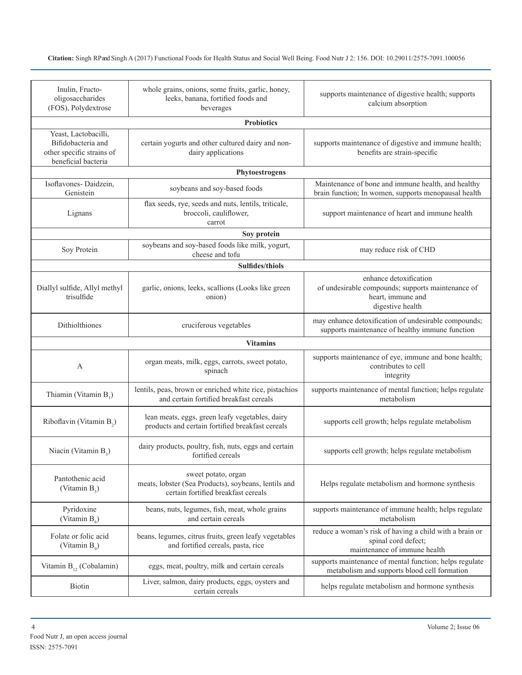| Inulin, Fructo-<br>oligosaccharides<br>(FOS), Polydextrose                                     | whole grains, onions, some fruits, garlic, honey,<br>leeks, banana, fortified foods and<br>beverages               | supports maintenance of digestive health; supports<br>calcium absorption                                             |  |
|------------------------------------------------------------------------------------------------|--------------------------------------------------------------------------------------------------------------------|----------------------------------------------------------------------------------------------------------------------|--|
|                                                                                                | <b>Probiotics</b>                                                                                                  |                                                                                                                      |  |
| Yeast, Lactobacilli,<br>Bifidobacteria and<br>other specific strains of<br>beneficial bacteria | certain yogurts and other cultured dairy and non-<br>dairy applications                                            | supports maintenance of digestive and immune health;<br>benefits are strain-specific                                 |  |
|                                                                                                | Phytoestrogens                                                                                                     |                                                                                                                      |  |
| Isoflavones-Daidzein,<br>Genistein                                                             | soybeans and soy-based foods                                                                                       | Maintenance of bone and immune health, and healthy<br>brain function; In women, supports menopausal health           |  |
| Lignans                                                                                        | flax seeds, rye, seeds and nuts, lentils, triticale,<br>broccoli, cauliflower,<br>carrot                           | support maintenance of heart and immune health                                                                       |  |
|                                                                                                | Soy protein                                                                                                        |                                                                                                                      |  |
| Soy Protein                                                                                    | soybeans and soy-based foods like milk, yogurt,<br>cheese and tofu                                                 | may reduce risk of CHD                                                                                               |  |
|                                                                                                | Sulfides/thiols                                                                                                    |                                                                                                                      |  |
| Diallyl sulfide, Allyl methyl<br>trisulfide                                                    | garlic, onions, leeks, scallions (Looks like green<br>onion)                                                       | enhance detoxification<br>of undesirable compounds; supports maintenance of<br>heart, immune and<br>digestive health |  |
| Dithiolthiones                                                                                 | cruciferous vegetables                                                                                             | may enhance detoxification of undesirable compounds;<br>supports maintenance of healthy immune function              |  |
|                                                                                                | <b>Vitamins</b>                                                                                                    |                                                                                                                      |  |
| A                                                                                              | organ meats, milk, eggs, carrots, sweet potato,<br>spinach                                                         | supports maintenance of eye, immune and bone health;<br>contributes to cell<br>integrity                             |  |
| Thiamin (Vitamin B <sub>1</sub> )                                                              | lentils, peas, brown or enriched white rice, pistachios<br>and certain fortified breakfast cereals                 | supports maintenance of mental function; helps regulate<br>metabolism                                                |  |
| Riboflavin (Vitamin B <sub>2</sub> )                                                           | lean meats, eggs, green leafy vegetables, dairy<br>products and certain fortified breakfast cereals                | supports cell growth; helps regulate metabolism                                                                      |  |
| Niacin (Vitamin $B_2$ )                                                                        | dairy products, poultry, fish, nuts, eggs and certain<br>fortified cereals                                         | supports cell growth; helps regulate metabolism                                                                      |  |
| Pantothenic acid<br>(Vitamin $B_5$ )                                                           | sweet potato, organ<br>meats, lobster (Sea Products), soybeans, lentils and<br>certain fortified breakfast cereals | Helps regulate metabolism and hormone synthesis                                                                      |  |
| Pyridoxine<br>(Vitamin $B_6$ )                                                                 | beans, nuts, legumes, fish, meat, whole grains<br>and certain cereals                                              | supports maintenance of immune health; helps regulate<br>metabolism                                                  |  |
| Folate or folic acid<br>(Vitamin $B_0$ )                                                       | beans, legumes, citrus fruits, green leafy vegetables<br>and fortified cereals, pasta, rice                        | reduce a woman's risk of having a child with a brain or<br>spinal cord defect;<br>maintenance of immune health       |  |
| Vitamin $B_{12}$ (Cobalamin)                                                                   | eggs, meat, poultry, milk and certain cereals                                                                      | supports maintenance of mental function; helps regulate<br>metabolism and supports blood cell formation              |  |
| Biotin                                                                                         | Liver, salmon, dairy products, eggs, oysters and<br>certain cereals                                                | helps regulate metabolism and hormone synthesis                                                                      |  |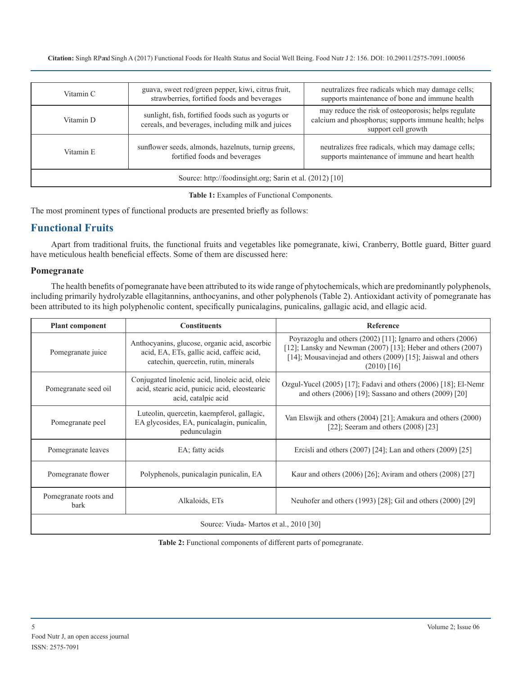| Vitamin C                                                | guava, sweet red/green pepper, kiwi, citrus fruit,<br>strawberries, fortified foods and beverages       | neutralizes free radicals which may damage cells;<br>supports maintenance of bone and immune health                                 |
|----------------------------------------------------------|---------------------------------------------------------------------------------------------------------|-------------------------------------------------------------------------------------------------------------------------------------|
| Vitamin D                                                | sunlight, fish, fortified foods such as yogurts or<br>cereals, and beverages, including milk and juices | may reduce the risk of osteoporosis; helps regulate<br>calcium and phosphorus; supports immune health; helps<br>support cell growth |
| Vitamin E                                                | sunflower seeds, almonds, hazelnuts, turnip greens,<br>fortified foods and beverages                    | neutralizes free radicals, which may damage cells;<br>supports maintenance of immune and heart health                               |
| Source: http://foodinsight.org; Sarin et al. (2012) [10] |                                                                                                         |                                                                                                                                     |

**Table 1:** Examples of Functional Components.

The most prominent types of functional products are presented briefly as follows:

# **Functional Fruits**

Apart from traditional fruits, the functional fruits and vegetables like pomegranate, kiwi, Cranberry, Bottle guard, Bitter guard have meticulous health beneficial effects. Some of them are discussed here:

#### **Pomegranate**

The health benefits of pomegranate have been attributed to its wide range of phytochemicals, which are predominantly polyphenols, including primarily hydrolyzable ellagitannins, anthocyanins, and other polyphenols (Table 2). Antioxidant activity of pomegranate has been attributed to its high polyphenolic content, specifically punicalagins, punicalins, gallagic acid, and ellagic acid.

| <b>Plant component</b>                 | <b>Constituents</b>                                                                                                                | Reference                                                                                                                                                                                                          |
|----------------------------------------|------------------------------------------------------------------------------------------------------------------------------------|--------------------------------------------------------------------------------------------------------------------------------------------------------------------------------------------------------------------|
| Pomegranate juice                      | Anthocyanins, glucose, organic acid, ascorbic<br>acid, EA, ETs, gallic acid, caffeic acid,<br>catechin, quercetin, rutin, minerals | Poyrazoglu and others (2002) [11]; Ignarro and others (2006)<br>[12]; Lansky and Newman $(2007)$ [13]; Heber and others $(2007)$<br>[14]; Mousavinejad and others (2009) [15]; Jaiswal and others<br>$(2010)$ [16] |
| Pomegranate seed oil                   | Conjugated linolenic acid, linoleic acid, oleic<br>acid, stearic acid, punicic acid, eleostearic<br>acid, catalpic acid            | Ozgul-Yucel (2005) [17]; Fadavi and others (2006) [18]; El-Nemr<br>and others $(2006)$ [19]; Sassano and others $(2009)$ [20]                                                                                      |
| Pomegranate peel                       | Luteolin, quercetin, kaempferol, gallagic,<br>EA glycosides, EA, punicalagin, punicalin,<br>pedunculagin                           | Van Elswijk and others (2004) [21]; Amakura and others (2000)<br>[22]; Seeram and others $(2008)$ [23]                                                                                                             |
| Pomegranate leaves                     | EA; fatty acids                                                                                                                    | Ercisli and others $(2007)$ [24]; Lan and others $(2009)$ [25]                                                                                                                                                     |
| Pomegranate flower                     | Polyphenols, punicalagin punicalin, EA                                                                                             | Kaur and others $(2006)$ [26]; Aviram and others $(2008)$ [27]                                                                                                                                                     |
| Pomegranate roots and<br>bark          | Alkaloids, ETs                                                                                                                     | Neuhofer and others (1993) [28]; Gil and others (2000) [29]                                                                                                                                                        |
| Source: Viuda-Martos et al., 2010 [30] |                                                                                                                                    |                                                                                                                                                                                                                    |

**Table 2:** Functional components of different parts of pomegranate.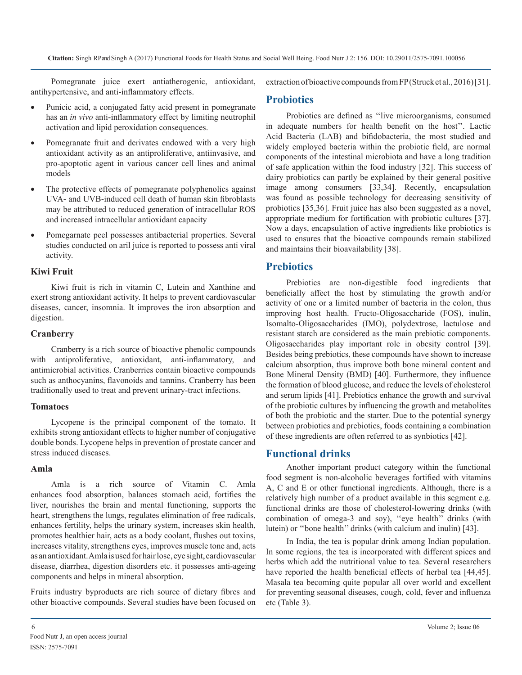Pomegranate juice exert antiatherogenic, antioxidant, antihypertensive, and anti-inflammatory effects.

- Punicic acid, a conjugated fatty acid present in pomegranate has an *in vivo* anti-inflammatory effect by limiting neutrophil activation and lipid peroxidation consequences.
- Pomegranate fruit and derivates endowed with a very high antioxidant activity as an antiproliferative, antiinvasive, and pro-apoptotic agent in various cancer cell lines and animal models
- The protective effects of pomegranate polyphenolics against UVA- and UVB-induced cell death of human skin fibroblasts may be attributed to reduced generation of intracellular ROS and increased intracellular antioxidant capacity
- Pomegarnate peel possesses antibacterial properties. Several studies conducted on aril juice is reported to possess anti viral activity.

#### **Kiwi Fruit**

Kiwi fruit is rich in vitamin C, Lutein and Xanthine and exert strong antioxidant activity. It helps to prevent cardiovascular diseases, cancer, insomnia. It improves the iron absorption and digestion.

#### **Cranberry**

Cranberry is a rich source of bioactive phenolic compounds with antiproliferative, antioxidant, anti-inflammatory, and antimicrobial activities. Cranberries contain bioactive compounds such as anthocyanins, flavonoids and tannins. Cranberry has been traditionally used to treat and prevent urinary-tract infections.

#### **Tomatoes**

Lycopene is the principal component of the tomato. It exhibits strong antioxidant effects to higher number of conjugative double bonds. Lycopene helps in prevention of prostate cancer and stress induced diseases.

#### **Amla**

Amla is a rich source of Vitamin C. Amla enhances [food](https://www.organicfacts.net/organic-products/organic-food/health-benefits-of-food.html?utm_source=internal&utm_medium=link&utm_campaign=smartlinks) absorption, balances stomach acid, fortifies the liver, nourishes the brain and mental functioning, supports the heart, strengthens the lungs, regulates elimination of free radicals, enhances fertility, helps the urinary system, increases [skin health,](https://www.organicfacts.net/home-remedies/10-best-foods-for-healthy-skin.html?utm_source=internal&utm_medium=link&utm_campaign=smartlinks) promotes healthier [hair](https://www.organicfacts.net/home-remedies/10-best-foods-for-healthy-hair.html?utm_source=internal&utm_medium=link&utm_campaign=smartlinks), acts as a body coolant, flushes out toxins, increases vitality, strengthens [eyes](https://www.organicfacts.net/home-remedies/15-tips-for-healthy-eyes.html?utm_source=internal&utm_medium=link&utm_campaign=smartlinks), improves muscle tone and, acts as an antioxidant. Amla is used for hair lose, eye sight, cardiovascular disease, diarrhea, digestion disorders etc. it possesses anti-ageing components and helps in mineral absorption.

Fruits industry byproducts are rich source of dietary fibres and other bioactive compounds. Several studies have been focused on extraction of bioactive compounds from FP (Struck et al., 2016) [31].

# **Probiotics**

Probiotics are defined as ''live microorganisms, consumed in adequate numbers for health benefit on the host''. Lactic Acid Bacteria (LAB) and bifidobacteria, the most studied and widely employed bacteria within the probiotic field, are normal components of the intestinal microbiota and have a long tradition of safe application within the food industry [32]. This success of dairy probiotics can partly be explained by their general positive image among consumers [33,34]. Recently, encapsulation was found as possible technology for decreasing sensitivity of probiotics [35,36]. Fruit juice has also been suggested as a novel, appropriate medium for fortification with probiotic cultures [37]. Now a days, encapsulation of active ingredients like probiotics is used to ensures that the bioactive compounds remain stabilized and maintains their bioavailability [38].

# **Prebiotics**

Prebiotics are non-digestible food ingredients that beneficially affect the host by stimulating the growth and/or activity of one or a limited number of bacteria in the colon, thus improving host health. Fructo-Oligosaccharide (FOS), inulin, Isomalto-Oligosaccharides (IMO), polydextrose, lactulose and resistant starch are considered as the main prebiotic components. Oligosaccharides play important role in obesity control [39]. Besides being prebiotics, these compounds have shown to increase calcium absorption, thus improve both bone mineral content and Bone Mineral Density (BMD) [40]. Furthermore, they influence the formation of blood glucose, and reduce the levels of cholesterol and serum lipids [41]. Prebiotics enhance the growth and survival of the probiotic cultures by influencing the growth and metabolites of both the probiotic and the starter. Due to the potential synergy between probiotics and prebiotics, foods containing a combination of these ingredients are often referred to as synbiotics [42].

# **Functional drinks**

Another important product category within the functional food segment is non-alcoholic beverages fortified with vitamins A, C and E or other functional ingredients. Although, there is a relatively high number of a product available in this segment e.g. functional drinks are those of cholesterol-lowering drinks (with combination of omega-3 and soy), ''eye health'' drinks (with lutein) or ''bone health'' drinks (with calcium and inulin) [43].

In India, the tea is popular drink among Indian population. In some regions, the tea is incorporated with different spices and herbs which add the nutritional value to tea. Several researchers have reported the health beneficial effects of herbal tea [44,45]. Masala tea becoming quite popular all over world and excellent for preventing seasonal diseases, cough, cold, fever and influenza etc (Table 3).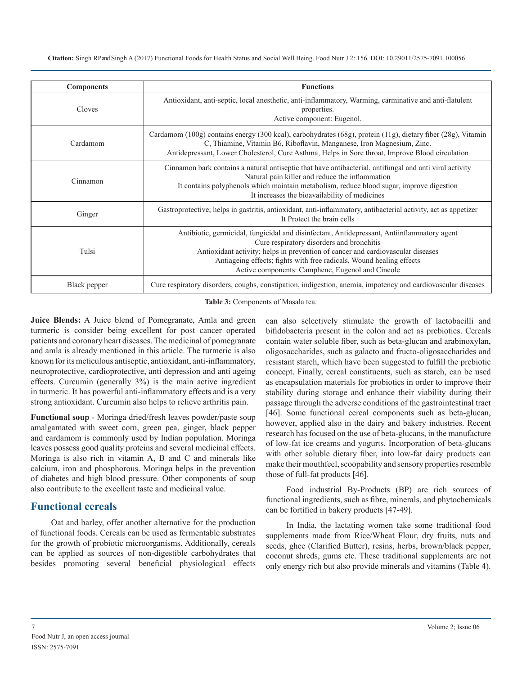| <b>Components</b> | <b>Functions</b>                                                                                                                                                                                                                                                                                                                                        |
|-------------------|---------------------------------------------------------------------------------------------------------------------------------------------------------------------------------------------------------------------------------------------------------------------------------------------------------------------------------------------------------|
| Cloves            | Antioxidant, anti-septic, local anesthetic, anti-inflammatory, Warming, carminative and anti-flatulent<br>properties.<br>Active component: Eugenol.                                                                                                                                                                                                     |
| Cardamom          | Cardamom (100g) contains energy (300 kcal), carbohydrates (68g), protein (11g), dietary fiber (28g), Vitamin<br>C, Thiamine, Vitamin B6, Riboflavin, Manganese, Iron Magnesium, Zinc.<br>Antidepressant, Lower Cholesterol, Cure Asthma, Helps in Sore throat, Improve Blood circulation                                                                |
| Cinnamon          | Cinnamon bark contains a natural antiseptic that have antibacterial, antifungal and anti viral activity<br>Natural pain killer and reduce the inflammation<br>It contains polyphenols which maintain metabolism, reduce blood sugar, improve digestion<br>It increases the bioavailability of medicines                                                 |
| Ginger            | Gastroprotective; helps in gastritis, antioxidant, anti-inflammatory, antibacterial activity, act as appetizer<br>It Protect the brain cells                                                                                                                                                                                                            |
| Tulsi             | Antibiotic, germicidal, fungicidal and disinfectant, Antidepressant, Antiinflammatory agent<br>Cure respiratory disorders and bronchitis<br>Antioxidant activity; helps in prevention of cancer and cardiovascular diseases<br>Antiageing effects; fights with free radicals, Wound healing effects<br>Active components: Camphene, Eugenol and Cineole |
| Black pepper      | Cure respiratory disorders, coughs, constipation, indigestion, anemia, impotency and cardiovascular diseases                                                                                                                                                                                                                                            |

**Table 3:** Components of Masala tea.

**Juice Blends:** A Juice blend of Pomegranate, Amla and green turmeric is consider being excellent for post cancer operated patients and coronary heart diseases. The medicinal of pomegranate and amla is already mentioned in this article. The turmeric is also known for its meticulous antiseptic, antioxidant, anti-inflammatory, neuroprotective, cardioprotective, anti depression and anti ageing effects. Curcumin (generally 3%) is the main active ingredient in turmeric. It has powerful anti-inflammatory effects and is a very strong antioxidant. Curcumin also helps to relieve arthritis pain.

**Functional soup** - Moringa dried/fresh leaves powder/paste soup amalgamated with sweet corn, green pea, ginger, black pepper and cardamom is commonly used by Indian population. Moringa leaves possess good quality proteins and several medicinal effects. Moringa is also rich in vitamin A, B and C and minerals like calcium, iron and phosphorous. Moringa helps in the prevention of diabetes and high blood pressure. Other components of soup also contribute to the excellent taste and medicinal value.

# **Functional cereals**

Oat and barley, offer another alternative for the production of functional foods. Cereals can be used as fermentable substrates for the growth of probiotic microorganisms. Additionally, cereals can be applied as sources of non-digestible carbohydrates that besides promoting several beneficial physiological effects can also selectively stimulate the growth of lactobacilli and bifidobacteria present in the colon and act as prebiotics. Cereals contain water soluble fiber, such as beta-glucan and arabinoxylan, oligosaccharides, such as galacto and fructo-oligosaccharides and resistant starch, which have been suggested to fulfill the prebiotic concept. Finally, cereal constituents, such as starch, can be used as encapsulation materials for probiotics in order to improve their stability during storage and enhance their viability during their passage through the adverse conditions of the gastrointestinal tract [46]. Some functional cereal components such as beta-glucan, however, applied also in the dairy and bakery industries. Recent research has focused on the use of beta-glucans, in the manufacture of low-fat ice creams and yogurts. Incorporation of beta-glucans with other soluble dietary fiber, into low-fat dairy products can make their mouthfeel, scoopability and sensory properties resemble those of full-fat products [46].

Food industrial By-Products (BP) are rich sources of functional ingredients, such as fibre, minerals, and phytochemicals can be fortified in bakery products [47-49].

In India, the lactating women take some traditional food supplements made from Rice/Wheat Flour, dry fruits, nuts and seeds, ghee (Clarified Butter), resins, herbs, brown/black pepper, coconut shreds, gums etc. These traditional supplements are not only energy rich but also provide minerals and vitamins (Table 4).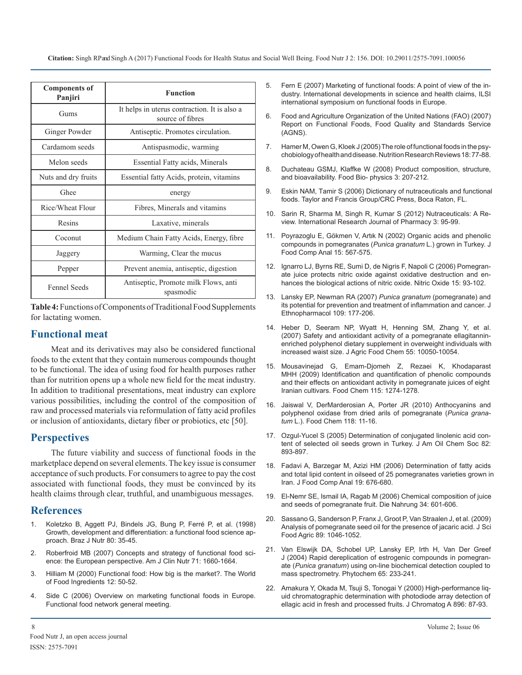| <b>Components of</b><br>Panjiri | <b>Function</b>                                                  |
|---------------------------------|------------------------------------------------------------------|
| Gums                            | It helps in uterus contraction. It is also a<br>source of fibres |
| Ginger Powder                   | Antiseptic. Promotes circulation.                                |
| Cardamom seeds                  | Antispasmodic, warming                                           |
| Melon seeds                     | <b>Essential Fatty acids, Minerals</b>                           |
| Nuts and dry fruits             | Essential fatty Acids, protein, vitamins                         |
| Ghee                            | energy                                                           |
| Rice/Wheat Flour                | Fibres, Minerals and vitamins                                    |
| Resins                          | Laxative, minerals                                               |
| Coconut                         | Medium Chain Fatty Acids, Energy, fibre                          |
| Jaggery                         | Warming, Clear the mucus                                         |
| Pepper                          | Prevent anemia, antiseptic, digestion                            |
| <b>Fennel Seeds</b>             | Antiseptic, Promote milk Flows, anti<br>spasmodic                |

**Table 4:** Functions of Components of Traditional Food Supplements for lactating women.

### **Functional meat**

Meat and its derivatives may also be considered functional foods to the extent that they contain numerous compounds thought to be functional. The idea of using food for health purposes rather than for nutrition opens up a whole new field for the meat industry. In addition to traditional presentations, meat industry can explore various possibilities, including the control of the composition of raw and processed materials via reformulation of fatty acid profiles or inclusion of antioxidants, dietary fiber or probiotics, etc [50].

# **Perspectives**

The future viability and success of functional foods in the marketplace depend on several elements. The key issue is consumer acceptance of such products. For consumers to agree to pay the cost associated with functional foods, they must be convinced by its health claims through clear, truthful, and unambiguous messages.

# **References**

- 1. [Koletzko B, Aggett PJ, Bindels JG, Bung P, Ferré P, et al. \(1998\)](https://www.ncbi.nlm.nih.gov/pubmed/9849353)  Growth, development and differentiation: a functional food science ap[proach. Braz J Nutr 80: 35-45.](https://www.ncbi.nlm.nih.gov/pubmed/9849353)
- 2. [Roberfroid MB \(2007\) Concepts and strategy of functional food sci](https://www.ncbi.nlm.nih.gov/pubmed/10837311)ence: the European perspective. Am J Clin Nutr 71: 1660-1664.
- 3. Hilliam M (2000) Functional food: How big is the market?. The World of Food Ingredients 12: 50-52.
- 4. Side C (2006) Overview on marketing functional foods in Europe. Functional food network general meeting.
- 5. Fern E (2007) Marketing of functional foods: A point of view of the industry. International developments in science and health claims, ILSI international symposium on functional foods in Europe.
- 6. Food and Agriculture Organization of the United Nations (FAO) (2007) Report on Functional Foods, Food Quality and Standards Service (AGNS).
- 7. [Hamer M, Owen G, Kloek J \(2005\) The role of functional foods in the psy](https://www.ncbi.nlm.nih.gov/pubmed/19079896)chobiology of health and disease. Nutrition Research Reviews 18: 77-88[.](https://www.ncbi.nlm.nih.gov/pubmed/19079896)
- 8. [Duchateau GSMJ, Klaffke W \(2008\) Product composition, structure,](https://link.springer.com/article/10.1007/s11483-008-9076-5)  and bioavailability. Food Bio- physics 3: 207-212.
- 9. [Eskin NAM, Tamir S \(2006\) Dictionary of nutraceuticals and functional](https://www.crcpress.com/Dictionary-of-Nutraceuticals-and-Functional-Foods/Eskin-Tamir/p/book/9780849315725)  foods. Taylor and Francis Group/CRC Press, Boca Raton, FL.
- 10. [Sarin R, Sharma M, Singh R, Kumar S \(2012\) Nutraceuticals: A Re](http://www.irjponline.com/admin/php/uploads/979_pdf.pdf)view. International Research Journal of Pharmacy 3: 95-99.
- 11. [Poyrazoglu E, Gökmen V, Artιk N \(2002\) Organic acids and phenolic](http://www.sciencedirect.com/science/article/pii/S0889157502910719) compounds in pomegranates (*Punica granatum* L.) grown in Turkey. [J](http://www.sciencedirect.com/science/article/pii/S0889157502910719)  [Food Comp Anal 15: 567-575.](http://www.sciencedirect.com/science/article/pii/S0889157502910719)
- 12. [Ignarro LJ, Byrns RE, Sumi D, de Nigris F, Napoli C \(2006\) Pomegran](https://www.ncbi.nlm.nih.gov/pubmed/16626982)ate juice protects nitric oxide against oxidative destruction and en[hances the biological actions of nitric oxide. Nitric Oxide 15: 93-102.](https://www.ncbi.nlm.nih.gov/pubmed/16626982)
- 13. [Lansky EP, Newman RA \(2007\)](https://www.ncbi.nlm.nih.gov/pubmed/17157465) *Punica granatum* (pomegranate) and [its potential for prevention and treatment of inflammation and cancer. J](https://www.ncbi.nlm.nih.gov/pubmed/17157465)  [Ethnopharmacol 109: 177-206.](https://www.ncbi.nlm.nih.gov/pubmed/17157465)
- 14. [Heber D, Seeram NP, Wyatt H, Henning SM, Zhang Y, et al.](https://www.ncbi.nlm.nih.gov/pubmed/17966977)  (2007) Safety and antioxidant activity of a pomegranate ellagitannin[enriched polyphenol dietary supplement in overweight individuals with](https://www.ncbi.nlm.nih.gov/pubmed/17966977)  [increased waist size. J Agric Food Chem 55: 10050-10054.](https://www.ncbi.nlm.nih.gov/pubmed/17966977)
- 15. [Mousavinejad G, Emam-Djomeh Z, Rezaei K, Khodaparast](http://www.sciencedirect.com/science/article/pii/S0308814609000843)  MHH (2009) Identification and quantification of phenolic compounds [and their effects on antioxidant activity in pomegranate juices of eight](http://www.sciencedirect.com/science/article/pii/S0308814609000843)  [Iranian cultivars. Food Chem 115: 1274-1278.](http://www.sciencedirect.com/science/article/pii/S0308814609000843)
- 16. [Jaiswal V, DerMarderosian A, Porter JR \(2010\) Anthocyanins and](http://www.sciencedirect.com/science/article/pii/S0308814609001551) polyphenol oxidase from dried arils of pomegranate (*Punica granatum* [L.\). Food Chem 118: 11-16.](http://www.sciencedirect.com/science/article/pii/S0308814609001551)
- 17. [Ozgul-Yucel S \(2005\) Determination of conjugated linolenic acid con](https://link.springer.com/article/10.1007/s11746-005-1161-7)tent of selected oil seeds grown in Turkey. J Am Oil Chem Soc 82: [893-897.](https://link.springer.com/article/10.1007/s11746-005-1161-7)
- 18. [Fadavi A, Barzegar M, Azizi HM \(2006\) Determination of fatty acids](http://www.sciencedirect.com/science/article/pii/S0889157504001462)  and total lipid content in oilseed of 25 pomegranates varieties grown i[n](http://www.sciencedirect.com/science/article/pii/S0889157504001462)  [Iran. J Food Comp Anal 19: 676-680.](http://www.sciencedirect.com/science/article/pii/S0889157504001462)
- 19. [El-Nemr SE, Ismail IA, Ragab M \(2006\) Chemical composition of juice](http://onlinelibrary.wiley.com/doi/10.1002/food.19900340706/abstract)  and seeds of pomegranate fruit. Die Nahrung 34: 601-606.
- 20. [Sassano G, Sanderson P, Franx J, Groot P, Van Straalen J, et al. \(2009\)](http://onlinelibrary.wiley.com/doi/10.1002/jsfa.3552/abstract)  [Analysis of pomegranate seed oil for the presence of jacaric acid. J Sci](https://www.ncbi.nlm.nih.gov/pubmed/9849353) [Food Agric 89: 1046-1052.](http://onlinelibrary.wiley.com/doi/10.1002/jsfa.3552/abstract)
- 21. [Van Elswijk DA, Schobel UP, Lansky EP, Irth H, Van Der Greef](https://www.ncbi.nlm.nih.gov/pubmed/14732284)  [J \(2004\) Rapid dereplication of estrogenic compounds in pomegran](https://www.ncbi.nlm.nih.gov/pubmed/10837311)ate (*Punica granatum*[\) using on-line biochemical detection coupled to](https://www.ncbi.nlm.nih.gov/pubmed/14732284) [mass spectrometry. Phytochem 65: 233-241.](https://www.ncbi.nlm.nih.gov/pubmed/14732284)
- 22. [Amakura Y, Okada M, Tsuji S, Tonogai Y \(2000\) High-performance liq](https://www.ncbi.nlm.nih.gov/pubmed/11093643)uid chromatographic determination with photodiode array detection of [ellagic acid in fresh and processed fruits. J Chromatog A](https://www.ncbi.nlm.nih.gov/pubmed/11093643) 896: 87-93.